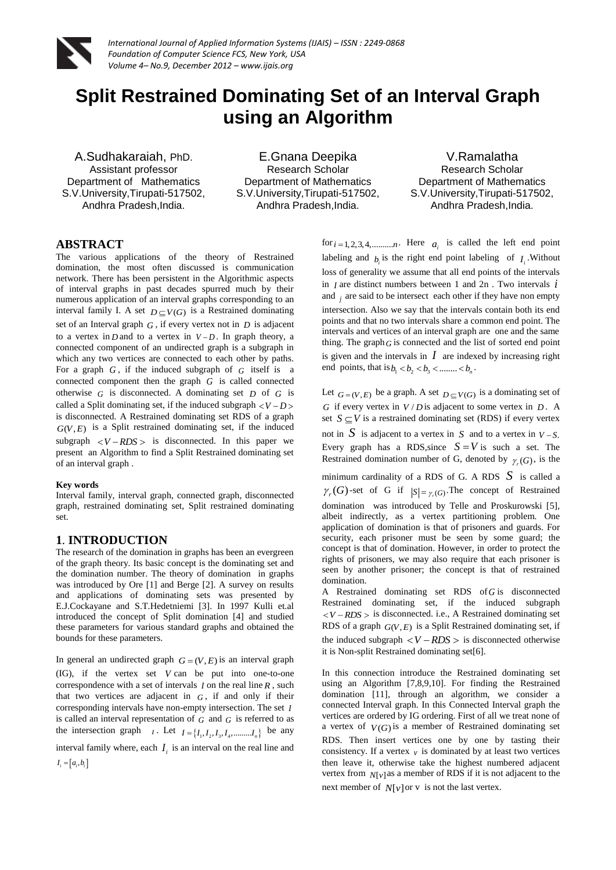

# **Split Restrained Dominating Set of an Interval Graph using an Algorithm**

A.Sudhakaraiah, PhD. Assistant professor Department of Mathematics S.V.University,Tirupati-517502, Andhra Pradesh,India.

E.Gnana Deepika Research Scholar Department of Mathematics S.V.University,Tirupati-517502, Andhra Pradesh,India.

V.Ramalatha Research Scholar Department of Mathematics S.V.University,Tirupati-517502, Andhra Pradesh,India.

# **ABSTRACT**

The various applications of the theory of Restrained domination, the most often discussed is communication network. There has been persistent in the Algorithmic aspects of interval graphs in past decades spurred much by their numerous application of an interval graphs corresponding to an interval family I. A set  $D \subseteq V(G)$  is a Restrained dominating set of an Interval graph *G* , if every vertex not in *D* is adjacent to a vertex in  $D$  and to a vertex in  $V - D$ . In graph theory, a connected component of an undirected graph is a subgraph in which any two vertices are connected to each other by paths. For a graph  $G$ , if the induced subgraph of  $G$  itself is a connected component then the graph *G* is called connected otherwise  $G$  is disconnected. A dominating set  $D$  of  $G$  is called a Split dominating set, if the induced subgraph  $\langle V - D \rangle$ is disconnected. A Restrained dominating set RDS of a graph  $G(V, E)$  is a Split restrained dominating set, if the induced subgraph  $\langle V - RDS \rangle$  is disconnected. In this paper we present an Algorithm to find a Split Restrained dominating set of an interval graph .

#### **Key words**

Interval family, interval graph, connected graph, disconnected graph, restrained dominating set, Split restrained dominating set.

# **1**. **INTRODUCTION**

The research of the domination in graphs has been an evergreen of the graph theory. Its basic concept is the dominating set and the domination number. The theory of domination in graphs was introduced by Ore [1] and Berge [2]. A survey on results and applications of dominating sets was presented by E.J.Cockayane and S.T.Hedetniemi [3]. In 1997 Kulli et.al introduced the concept of Split domination [4] and studied these parameters for various standard graphs and obtained the bounds for these parameters.

In general an undirected graph  $G = (V, E)$  is an interval graph (IG), if the vertex set *V* can be put into one-to-one correspondence with a set of intervals *I* on the real line *R* , such that two vertices are adjacent in  $G$ , if and only if their corresponding intervals have non-empty intersection. The set *I* is called an interval representation of  $G$  and  $G$  is referred to as the intersection graph  $I \cdot$  Let  $I = \{I_1, I_2, I_3, I_4, \dots, I_n\}$  be any interval family where, each  $I_i$  is an interval on the real line and  $I_i = [a_i, b_i]$ 

for  $i = 1, 2, 3, 4, \dots, n$ . Here  $a_i$  is called the left end point labeling and  $b_i$  is the right end point labeling of  $I_i$ . Without loss of generality we assume that all end points of the intervals in *I* are distinct numbers between 1 and 2n . Two intervals *i* and  $j$  are said to be intersect each other if they have non empty intersection. Also we say that the intervals contain both its end points and that no two intervals share a common end point. The intervals and vertices of an interval graph are one and the same thing. The graph  $G$  is connected and the list of sorted end point is given and the intervals in  $I$  are indexed by increasing right end points, that is  $b_1 < b_2 < b_3 < \dots < b_n$ .

Let  $G = (V, E)$  be a graph. A set  $D \subseteq V(G)$  is a dominating set of *G* if every vertex in  $V/D$  is adjacent to some vertex in  $D$ . A set  $S \subseteq V$  is a restrained dominating set (RDS) if every vertex not in  $S$  is adjacent to a vertex in  $S$  and to a vertex in  $V-S$ .

Every graph has a RDS, since  $S = V$  is such a set. The Restrained domination number of G, denoted by  $\gamma_r(G)$ , is the

minimum cardinality of a RDS of G. A RDS *S* is called a  $\gamma_r(G)$ -set of G if  $|S| = \gamma_r(G)$ . The concept of Restrained domination was introduced by Telle and Proskurowski [5], albeit indirectly, as a vertex partitioning problem. One application of domination is that of prisoners and guards. For security, each prisoner must be seen by some guard; the concept is that of domination. However, in order to protect the rights of prisoners, we may also require that each prisoner is seen by another prisoner; the concept is that of restrained domination.

A Restrained dominating set RDS of *G* is disconnected Restrained dominating set, if the induced subgraph  $\langle V - RDS \rangle$  is disconnected. i.e., A Restrained dominating set RDS of a graph  $G(V, E)$  is a Split Restrained dominating set, if the induced subgraph  $\langle V - RDS \rangle$  is disconnected otherwise it is Non-split Restrained dominating set[6].

In this connection introduce the Restrained dominating set using an Algorithm [7,8,9,10]. For finding the Restrained domination [11], through an algorithm, we consider a connected Interval graph. In this Connected Interval graph the vertices are ordered by IG ordering. First of all we treat none of a vertex of  $V(G)$  is a member of Restrained dominating set RDS. Then insert vertices one by one by tasting their consistency. If a vertex  $v_i$  is dominated by at least two vertices then leave it, otherwise take the highest numbered adjacent vertex from  $N[v]$  as a member of RDS if it is not adjacent to the next member of  $N[v]$  or v is not the last vertex.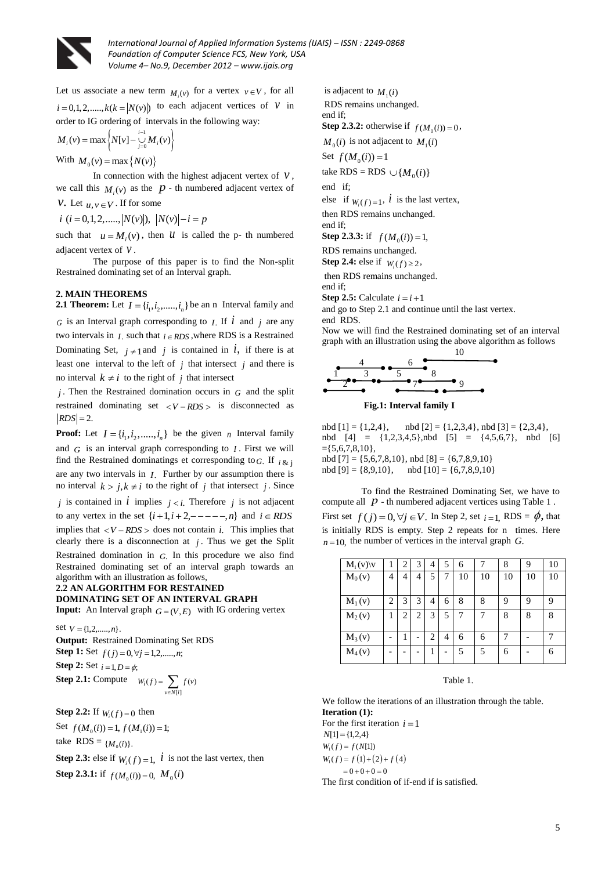

Let us associate a new term  $M_i(v)$  for a vertex  $v \in V$ , for all  $i = 0, 1, 2, \dots, k(k = |N(v)|)$  to each adjacent vertices of *V* in order to IG ordering of intervals in the following way:

$$
M_i(v) = \max \left\{ N[v] - \bigcup_{j=0}^{i-1} M_i(v) \right\}
$$

With  $M_0(v) = \max\{N(v)\}\$ 

In connection with the highest adjacent vertex of  $V$ , we call this  $M_i(v)$  as the  $p$  - th numbered adjacent vertex of *v*. Let  $u, v \in V$ . If for some

*i*  $(i = 0, 1, 2, \ldots, |N(v)|), |N(v)| - i = p$ 

such that  $u = M_i(v)$ , then *u* is called the p- th numbered adjacent vertex of *v* .

The purpose of this paper is to find the Non-split Restrained dominating set of an Interval graph.

## **2. MAIN THEOREMS**

**2.1 Theorem:** Let  $I = \{i_1, i_2, \dots, i_n\}$  be an n Interval family and

*G* is an Interval graph corresponding to *I*. If  $\vec{i}$  and *j* are any two intervals in  $I$ , such that  $i \in RDS$ , where RDS is a Restrained Dominating Set,  $j \neq 1$  and j is contained in i, if there is at least one interval to the left of  $j$  that intersect  $j$  and there is no interval  $k \neq i$  to the right of *j* that intersect

*j* . Then the Restrained domination occurs in *G* and the split restrained dominating set  $\langle V - RDS \rangle$  is disconnected as  $|RDS| = 2$ .

**Proof:** Let  $I = \{i_1, i_2, \dots, i_n\}$  be the given *n* Interval family and  $G$  is an interval graph corresponding to  $I$ . First we will find the Restrained dominatings et corresponding to  $G$ . If  $i \& j$ are any two intervals in *I*. Further by our assumption there is no interval  $k > j, k \neq i$  to the right of j that intersect j. Since *j* is contained in  $\vec{l}$  implies  $j < i$ . Therefore  $j$  is not adjacent to any vertex in the set  $\{i+1, i+2, -- - - -, n\}$  and  $i \in RDS$ implies that  $\langle V - RDS \rangle$  does not contain *i*. This implies that clearly there is a disconnection at  $j$ . Thus we get the Split Restrained domination in *G*. In this procedure we also find Restrained dominating set of an interval graph towards an algorithm with an illustration as follows,

#### **2.2 AN ALGORITHM FOR RESTAINED DOMINATING SET OF AN INTERVAL GRAPH**

**Input:** An Interval graph  $G = (V, E)$  with IG ordering vertex

set  $V = \{1, 2, \ldots, n\}.$ **Output:** Restrained Dominating Set RDS **Step 1:** Set  $f(j) = 0, \forall j = 1, 2, \dots, n;$ **Step 2:** Set  $i = 1, D = \phi$ ; **Step 2.1:** Compute  $[i]$  $G_i(f) = \sum f(v)$ *v*∈N[*i*  $W_i(f) = \sum f(v)$  $=\sum_{v\in N}$ 

**Step 2.2:** If  $W_i(f) = 0$  then

Set  $f(M_0(i)) = 1, f(M_1(i)) = 1;$ take RDS =  ${M_0(i)}$ . **Step 2.3:** else if  $W_i(f) = 1$ ,  $\hat{i}$  is not the last vertex, then **Step 2.3.1:** if  $f(M_0(i)) = 0$ ,  $M_0(i)$ 

is adjacent to  $M_1(i)$ RDS remains unchanged. end if;

**Step 2.3.2:** otherwise if  $f(M_0(i)) = 0$ ,

 $M_0(i)$  is not adjacent to  $M_1(i)$ 

Set  $f(M_0(i)) = 1$ 

take  $RDS = RDS \cup \{M_0(i)\}$ 

end if;

else if  $W_i(f) = 1$ , *i* is the last vertex,

then RDS remains unchanged. end if;

**Step 2.3.3:** if  $f(M_0(i)) = 1$ ,

RDS remains unchanged.

**Step 2.4:** else if  $W_i(f) \ge 2$ ,

then RDS remains unchanged.

end if;

**Step 2.5:** Calculate  $i = i + 1$ 

and go to Step 2.1 and continue until the last vertex. end RDS.

Now we will find the Restrained dominating set of an interval graph with an illustration using the above algorithm as follows



**Fig.1: Interval family I**

nbd  $[1] = \{1,2,4\}$ , nbd  $[2] = \{1,2,3,4\}$ , nbd  $[3] = \{2,3,4\}$ , nbd  $[4] = \{1,2,3,4,5\}$ ,nbd  $[5] = \{4,5,6,7\}$ , nbd  $[6]$  $=\{5,6,7,8,10\},\$ nbd  $[7] = \{5,6,7,8,10\}$ , nbd  $[8] = \{6,7,8,9,10\}$ nbd  $[9] = \{8,9,10\}$ , nbd  $[10] = \{6,7,8,9,10\}$ 

To find the Restrained Dominating Set, we have to compute all  $p$  - th numbered adjacent vertices using Table 1. First set  $f(j) = 0, \forall j \in V$ . In Step 2, set  $i = 1$ , RDS =  $\phi$ , that is initially RDS is empty. Step 2 repeats for n times. Here  $n = 10$ , the number of vertices in the interval graph *G*.

| $M_i(v)$ | l | 2 | 3              | 4 | 5 | 6  |    | 8  | 9  | 10 |
|----------|---|---|----------------|---|---|----|----|----|----|----|
| $M_0(v)$ | 4 | 4 | 4              | 5 |   | 10 | 10 | 10 | 10 | 10 |
| $M_1(v)$ | 2 | 3 | 3              | 4 | 6 | 8  | 8  | q  | 9  | 9  |
| $M_2(v)$ |   | 2 | $\overline{2}$ | 3 | 5 |    |    | 8  | 8  | 8  |
| $M_3(v)$ |   |   |                | 2 | 4 | 6  | 6  |    |    |    |
| $M_4(v)$ |   |   |                |   |   | 5  | 5  | 6  |    | 6  |

Table 1.

We follow the iterations of an illustration through the table. **Iteration (1):**  For the first iteration  $i = 1$  $N[1] = \{1,2,4\}$  $W_1(f) = f(1) + (2) + f(4)$  $W_1(f) = f(N[1])$  $= 0 + 0 + 0 = 0$ The first condition of if-end if is satisfied.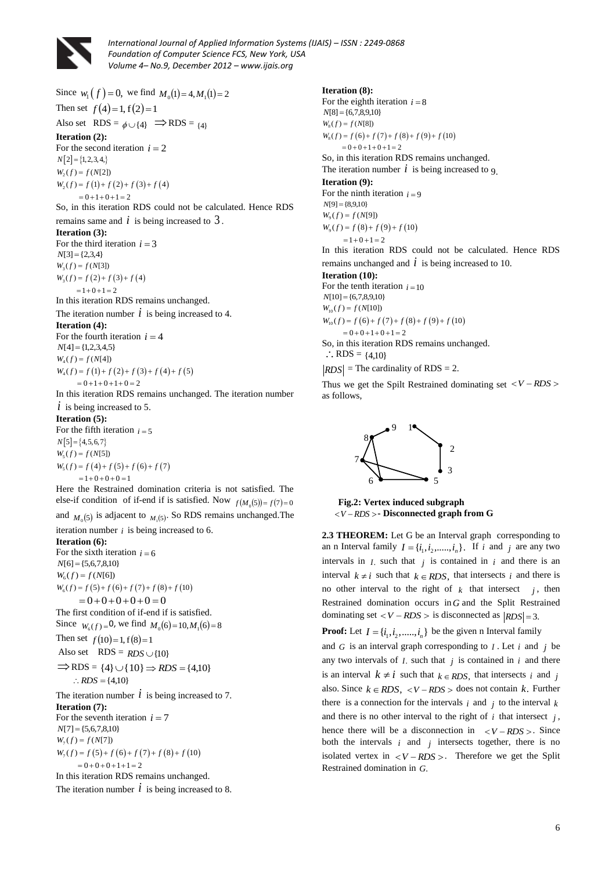

Since  $w_1(f) = 0$ , we find  $M_0(1) = 4, M_1(1) = 2$ Then set  $f(4) = 1, f(2) = 1$ Also set  $RDS = \phi \cup \{4\} \implies RDS = \{4\}$ **Iteration (2):**  For the second iteration  $i = 2$  $N[2] = \{1, 2, 3, 4, \}$  $W_2(f) = f(1) + f(2) + f(3) + f(4)$  $W_2(f) = f(N[2])$  $(20) - 3(1) + 3(2) + 3$ <br>= 0 + 1 + 0 + 1 = 2 So, in this iteration RDS could not be calculated. Hence RDS remains same and  $i$  is being increased to  $3$ . **Iteration (3):** For the third iteration  $i = 3$  $N[3] = \{2,3,4\}$  $W_3(f) = f(2) + f(3) + f(4)$  $W_3(f) = f(N[3])$  $= 1 + 0 + 1 = 2$ In this iteration RDS remains unchanged. The iteration number  $\dot{l}$  is being increased to 4. **Iteration (4):**  For the fourth iteration  $i = 4$  $N[4] = \{1,2,3,4,5\}$  $W_4(f) = f(N[4])$ <br>  $W_4(f) = f(1) + f(2) + f(3) + f(4) + f(5)$  $N[4] = \{1, 2, 3, 4, 5, 6\}$ <br> $W_4(f) = f(N[4])$  $W_4(f) = f(1) + f(2) + f(3) -$ <br>= 0 + 1 + 0 + 1 + 0 = 2 In this iteration RDS remains unchanged. The iteration number  $i$  is being increased to 5. **Iteration (5):** For the fifth iteration  $i = 5$ 

 $N[5] = \{4, 5, 6, 7\}$  $W_5(f) = f(4) + f(5) + f(6) + f(7)$  $W_5(f) = f(N[5])$  $-1 + 0 + 0 + 0 = 1$ 

Here the Restrained domination criteria is not satisfied. The else-if condition of if-end if is satisfied. Now  $f(M_0(5)) = f(7) = 0$ 

and  $M_0(5)$  is adjacent to  $M_1(5)$ . So RDS remains unchanged. The iteration number  $i$  is being increased to 6.

#### **Iteration (6):**

For the sixth iteration  $i = 6$  $N[6] = \{5,6,7,8,10\}$  $W_6(f) = f(N[6])$  $W_6(f) = f(N[6])$ <br>  $W_6(f) = f(5) + f(6) + f(7) + f(8) + f(10)$  $= 0 + 0 + 0 + 0 + 0 = 0$ The first condition of if-end if is satisfied. Since  $W_6(f) = 0$ , we find  $M_0(6) = 10, M_1(6) = 8$ 

Then set  $f(10)=1, f(8)=1$ 

Also set  $RDS = RDS \cup \{10\}$ 

$$
\Rightarrow RDS = \{4\} \cup \{10\} \Rightarrow RDS = \{4,10\}
$$
  
 
$$
\therefore RDS = \{4,10\}
$$

The iteration number  $\dot{l}$  is being increased to 7. **Iteration (7):** For the seventh iteration  $i = 7$  $N[7] = \{5,6,7,8,10\}$  $N[7] = \{5,6,7,8,10\}$ <br> $W_7(f) = f(N[7])$ 

 $W_7(f) = f(N[1])$ <br>  $W_7(f) = f(5) + f(6) + f(7) + f(8) + f(10)$  $W_7(f) = f(5) + f(6) + f(7)$ <br>= 0+0+0+1+1=2 In this iteration RDS remains unchanged.

The iteration number  $\dot{l}$  is being increased to 8.

#### **Iteration (8):**

For the eighth iteration  $i = 8$  $N[8] = \{6,7,8,9,10\}$  $W_8(f) = f(N[8])$ <br>  $W_8(f) = f(6) + f(7) + f(8) + f(9) + f(10)$  $N[8] = \{6,7,8,9,1$ <br> $W_8(f) = f(N[8])$  $W_8(f) = f(6) + f(7) + f(8) = 0 + 0 + 1 + 0 + 1 = 2$ So, in this iteration RDS remains unchanged. The iteration number  $i$  is being increased to 9. **Iteration (9):**  For the ninth iteration  $i = 9$  $N[9] = \{8,9,10\}$  $W_{9}(f) = f(8) + f(9) + f(10)$  $W_9(f) = f(N[9])$  $= 1 + 0 + 1 = 2$ In this iteration RDS could not be calculated. Hence RDS remains unchanged and  $\dot{i}$  is being increased to 10. **Iteration (10):** For the tenth iteration  $i = 10$ *N*[10] = {6,7,8,9,10}  $W_{10}(f) = f (N[10])$ <br>  $W_{10}(f) = f (6) + f (7) + f (8) + f (9) + f (10)$  $N[10] = \{6,7,8,9,10$ <br> $W_{10}(f) = f(N[10])$  $W_{10}(f) = f(6) + f(7) + f(8)$ <br>= 0+0+1+0+1=2 So, in this iteration RDS remains unchanged.  $\therefore$  RDS = {4,10}

 $RDS$  = The cardinality of RDS = 2.

Thus we get the Spilt Restrained dominating set  $\langle V - RDS \rangle$ as follows,



 **Fig.2: Vertex induced subgraph**  *V RDS* **- Disconnected graph from G**

2.3 THEOREM: Let G be an Interval graph corresponding to an n Interval family  $I = \{i_1, i_2, \dots, i_n\}$ . If *i* and *j* are any two intervals in  $I$ , such that  $j$  is contained in  $i$  and there is an interval  $k \neq i$  such that  $k \in RDS$ , that intersects *i* and there is no other interval to the right of  $k$  that intersect  $j$ , then Restrained domination occurs in *G* and the Split Restrained dominating set  $\langle V - RDS \rangle$  is disconnected as  $|RDS| = 3$ .

**Proof:** Let  $I = \{i_1, i_2, \dots, i_n\}$  be the given n Interval family

and  $G$  is an interval graph corresponding to  $I$ . Let  $i$  and  $j$  be any two intervals of  $I$ , such that  $j$  is contained in  $i$  and there is an interval  $k \neq i$  such that  $k \in RDS$ , that intersects *i* and *j* also. Since  $k \in RDS$ ,  $\langle V - RDS \rangle$  does not contain k. Further there is a connection for the intervals  $i$  and  $j$  to the interval  $k$ and there is no other interval to the right of  $i$  that intersect  $j$ , hence there will be a disconnection in  $\langle V - RDS \rangle$ . Since both the intervals  $i$  and  $j$  intersects together, there is no isolated vertex in  $\langle V - RDS \rangle$ . Therefore we get the Split Restrained domination in *G*.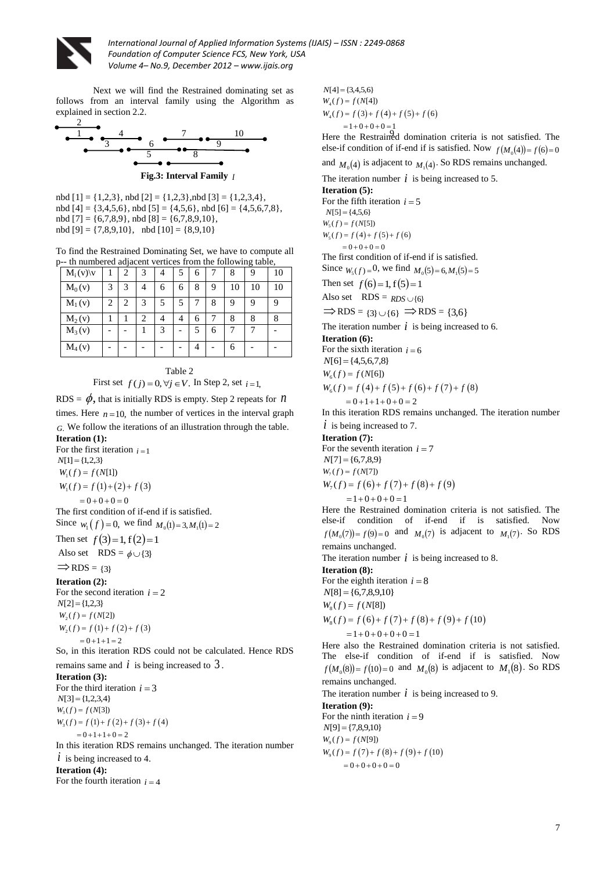

Next we will find the Restrained dominating set as follows from an interval family using the Algorithm as explained in section 2.2.



nbd [1] = {1,2,3}, nbd [2] = {1,2,3},nbd [3] = {1,2,3,4}, nbd  $[4] = \{3,4,5,6\}$ , nbd  $[5] = \{4,5,6\}$ , nbd  $[6] = \{4,5,6,7,8\}$ , nbd [7] = {6,7,8,9}, nbd [8] = {6,7,8,9,10}, nbd  $[9] = \{7,8,9,10\}$ , nbd  $[10] = \{8,9,10\}$ 

To find the Restrained Dominating Set, we have to compute all p-- th numbered adjacent vertices from the following table,

| $M_i(v)$  v |   | 2 | 3 |   | 5 | 6 | − | 8  | 9  | 10 |
|-------------|---|---|---|---|---|---|---|----|----|----|
| $M_0(v)$    | 3 | 3 |   | 6 | 6 | 8 | 9 | 10 | 10 | 10 |
| $M_1(v)$    | 2 | 2 | 3 | 5 | 5 |   | 8 | 9  | 9  | 9  |
| $M_2(v)$    |   |   | 2 | 4 | 4 | 6 |   | 8  | 8  | 8  |
| $M_3(v)$    |   |   |   | 3 |   | 5 | 6 |    |    |    |
| $M_4(v)$    |   |   |   |   |   |   |   | 6  |    |    |

Table 2

First set  $f(j) = 0, \forall j \in V$ . In Step 2, set  $i = 1$ ,

RDS =  $\phi$ , that is initially RDS is empty. Step 2 repeats for *n* times. Here  $n = 10$ , the number of vertices in the interval graph *G*. We follow the iterations of an illustration through the table.

**Iteration (1):** 

For the first iteration  $i=1$  $N[1] = \{1,2,3\}$  $W_1(f) = f(1) + (2) + f(3)$  $W_1(f) = f(N[1])$  $= 0 + 0 + 0 = 0$ The first condition of if-end if is satisfied. Since  $w_1(f) = 0$ , we find  $M_0(1) = 3, M_1(1) = 2$ 

Then set 
$$
f(3)=1, f(2)=1
$$
  
Also set RDS =  $\phi \cup \{3\}$ 

 $\Rightarrow$  RDS = {3}

**Iteration (2):** 

For the second iteration  $i = 2$  $N[2] = \{1,2,3\}$  $W_2(f) = f(1) + f(2) + f(3)$  $W_2(f) = f(N[2])$  $= 0 + 1 + 1 = 2$ 

So, in this iteration RDS could not be calculated. Hence RDS

remains same and  $i$  is being increased to  $3$ .

**Iteration (3):** For the third iteration  $i = 3$  $N[3] = \{1,2,3,4\}$  $W_3(f) = f(1) + f(2) + f(3) + f(4)$  $W_3(f) = f(N[3])$  $\begin{aligned} (a_3 \cdot 3 \cdot 7) &= 3 \cdot (1) + 3 \cdot (2) + 3 \\ &= 0 + 1 + 1 + 0 = 2 \end{aligned}$ 

In this iteration RDS remains unchanged. The iteration number  $i$  is being increased to 4.

#### **Iteration (4):**

For the fourth iteration  $i = 4$ 

 $N[4] = \{3,4,5,6\}$  $W_4(f) = f(3) + f(4) + f(5) + f(6)$  $W_4(f) = f(N[4])$  $\begin{aligned} (u_4(y) - y(y)) (y + y) \\ &= 1 + 0 + 0 + 0 = 1 \end{aligned}$ 

Here the Restrained domination criteria is not satisfied. The else-if condition of if-end if is satisfied. Now  $f(M_0(4)) = f(6) = 0$ 

and  $M_0(4)$  is adjacent to  $M_1(4)$ . So RDS remains unchanged.

The iteration number  $\vec{i}$  is being increased to 5.

#### **Iteration (5):**

For the fifth iteration  $i = 5$  $N[5] = \{4, 5, 6\}$  $W_5(f) = f(4) + f(5) + f(6)$  $W_5(f) = f(N[5])$  $= 0 + 0 + 0 = 0$ The first condition of if-end if is satisfied.

Since  $W_5(f) = 0$ , we find  $M_0(5) = 6, M_1(5) = 5$ 

Then set  $f(6)=1, f(5)=1$ 

Also set  $RDS = RDS \cup \{6\}$ 

 $\Rightarrow$  RDS = {3} \cdot \left(6}  $\Rightarrow$  RDS = {3,6}

The iteration number  $i$  is being increased to 6.

**Iteration (6):** 

For the sixth iteration  $i = 6$  $N[6] = \{4,5,6,7,8\}$ 

 $N[6] = \{4,5,6,7,8$ <br> $W_6(f) = f(N[6])$ 

 $W_6(f) = f (N[6])$ <br>  $W_6(f) = f (4) + f (5) + f (6) + f (7) + f (8)$ 

 $W_6(f) = f(4) + f(5) + f(6)$ <br>= 0+1+1+0+0 = 2

In this iteration RDS remains unchanged. The iteration number  $i$  is being increased to 7.

**Iteration (7):**

For the seventh iteration  $i = 7$  $N[7] = \{6,7,8,9\}$  $W_7(f) = f(N[7])$  $W_7(f) = f (x_1 f_1 f_2)$ <br>  $W_7(f) = f (6) + f (7) + f (8) + f (9)$  $=1+0+0+0=1$ 

Here the Restrained domination criteria is not satisfied. The else-if condition of if-end if is satisfied. Now  $f(M_0(7)) = f(9) = 0$  and  $M_0(7)$  is adjacent to  $M_1(7)$ . So RDS remains unchanged.

The iteration number  $i$  is being increased to 8.

### **Iteration (8):**

For the eighth iteration  $i = 8$  $N[8] = \{6,7,8,9,10\}$  $W_8(f) = f(N[8])$ <br>  $W_8(f) = f(6) + f(7) + f(8) + f(9) + f(10)$  $N[8] = \{6,7,8,9,1$ <br> $W_8(f) = f(N[8])$ 

 $W_8(f) = f(6) + f(7) + f(8) +$ <br>= 1+0+0+0+0 = 1

Here also the Restrained domination criteria is not satisfied. The else-if condition of if-end if is satisfied. Now  $f(M_0(8)) = f(10) = 0$  and  $M_0(8)$  is adjacent to  $M_1(8)$ . So RDS remains unchanged.

The iteration number  $\vec{i}$  is being increased to 9.

**Iteration (9):**  For the ninth iteration  $i = 9$  $N[9] = \{7,8,9,10\}$  $W_9(f) = f(7) + f(8) + f(9) + f(10)$  $W_1$ *z* j – { *i*, 0, *9*,10<br>  $W_9(f) = f(N[9])$  $(0, 0) - 3(0, 0) + 3(0, 0) + 9(0, 0) = 0$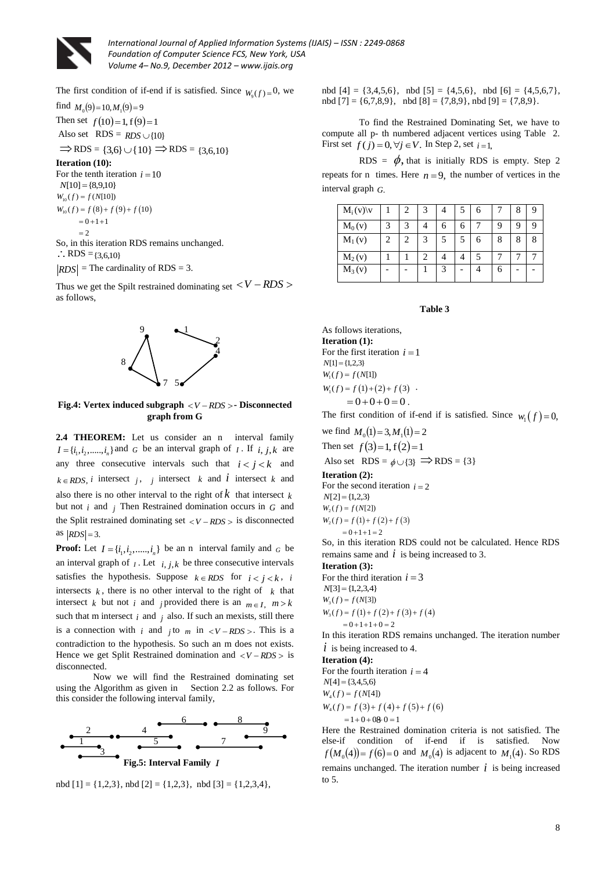

The first condition of if-end if is satisfied. Since  $W_9(f) = 0$ , we

find  $M_0(9) = 10, M_1(9) = 9$ Then set  $f(10)=1, f(9)=1$ Also set  $RDS = RDS \cup \{10\}$  $\Rightarrow$  RDS = {3,6}  $\cup$  {10}  $\Rightarrow$  RDS = {3,6,10} **Iteration (10):** For the tenth iteration  $i = 10$ 

 $N[10] = \{8,9,10\}$  $W_{10}(f) = f(8) + f(9) + f(10)$  $W_{10}(f) = f(N[10])$  $= 0 + 1 + 1$  $=2$ So, in this iteration RDS remains unchanged.  $\therefore$  RDS = {3,6,10}

 $RDS$  = The cardinality of RDS = 3.

Thus we get the Spilt restrained dominating set  $\langle V - RDS \rangle$ as follows,



**Fig.4: Vertex induced subgraph**  *V RDS* **- Disconnected graph from G**

2.4 THEOREM: Let us consider an n interval family  $I = \{i_1, i_2, \dots, i_n\}$  and *G* be an interval graph of *I*. If *i, j, k* are any three consecutive intervals such that  $i < j < k$  and  $k \in RDS$ , *i* intersect *j*, *j* intersect *k* and *i* intersect *k* and also there is no other interval to the right of  $k$  that intersect  $k$ but not  $i$  and  $j$  Then Restrained domination occurs in  $G$  and the Split restrained dominating set  $\langle V - RDS \rangle$  is disconnected as  $|RDS| = 3$ .

**Proof:** Let  $I = \{i_1, i_2, \dots, i_n\}$  be an n interval family and  $_G$  be an interval graph of  $I$ . Let  $i, j, k$  be three consecutive intervals satisfies the hypothesis. Suppose  $k \in RDS$  for  $i < j < k$ , *i* intersects  $k$ , there is no other interval to the right of  $k$  that intersect *k* but not *i* and *j* provided there is an  $m \in I$ ,  $m > k$ such that m intersect  $i$  and  $j$  also. If such an mexists, still there is a connection with *i* and *j* to *m* in  $\lt V - RDS$  >. This is a contradiction to the hypothesis. So such an m does not exists. Hence we get Split Restrained domination and  $\langle V - RDS \rangle$  is disconnected.

Now we will find the Restrained dominating set using the Algorithm as given in Section 2.2 as follows. For this consider the following interval family,



nbd [1] = {1,2,3}, nbd [2] = {1,2,3}, nbd [3] = {1,2,3,4},

nbd  $[4] = \{3,4,5,6\}$ , nbd  $[5] = \{4,5,6\}$ , nbd  $[6] = \{4,5,6,7\}$ , nbd  $[7] = \{6,7,8,9\}$ , nbd  $[8] = \{7,8,9\}$ , nbd  $[9] = \{7,8,9\}$ .

To find the Restrained Dominating Set, we have to compute all p- th numbered adjacent vertices using Table 2. First set  $f(j) = 0, \forall j \in V$ . In Step 2, set  $i = 1$ ,

RDS =  $\phi$ , that is initially RDS is empty. Step 2 repeats for n times. Here  $n = 9$ , the number of vertices in the interval graph *G*.

| $M_i(v)$ |   | 2 | 3 |   | 5 | 6 |   | 8 |  |
|----------|---|---|---|---|---|---|---|---|--|
| $M_0(v)$ | 3 | 3 |   | 6 | h |   | q |   |  |
| $M_1(v)$ | 2 | 2 | 3 | 5 | 5 | 6 | 8 | 8 |  |
| $M_2(v)$ |   |   |   |   |   |   |   |   |  |
| $M_3(v)$ |   |   |   | 3 |   |   | 6 |   |  |

#### **Table 3**

As follows iterations, **Iteration (1):**  For the first iteration  $i = 1$  $N[1] = \{1,2,3\}$  $W_1(f) = f(N[1])$  $W_1(f) = f(1) + (2) + f(3)$ .  $= 0 + 0 + 0 = 0$ .

The first condition of if-end if is satisfied. Since  $w_1(f) = 0$ ,

we find  $M_0(1) = 3, M_1(1) = 2$ 

Then set  $f(3)=1, f(2)=1$ 

Also set  $RDS = \phi \cup \{3\} \implies RDS = \{3\}$ 

**Iteration (2):** 

For the second iteration  $i = 2$  $N[2] = \{1,2,3\}$  $W_2(f) = f(1) + f(2) + f(3)$  $W_2(f) = f(N[2])$ 

 $= 0 + 1 + 1 = 2$ 

So, in this iteration RDS could not be calculated. Hence RDS remains same and  $\dot{i}$  is being increased to 3.

**Iteration (3):**

For the third iteration  $i = 3$  $N[3] = \{1,2,3,4\}$  $W_3(f) = f(1) + f(2) + f(3) + f(4)$  $W_3(f) = f(N[3])$  $(1)$  1 0 2<br>= 0 + 1 + 1 + 0 = 2

In this iteration RDS remains unchanged. The iteration number  $i$  is being increased to 4.

## **Iteration (4):**

For the fourth iteration  $i = 4$  $N[4] = \{3,4,5,6\}$  $W_4(f) = f(3) + f(4) + f(5) + f(6)$  $W[4] = \{3, 4, 3, 0\}$ <br> $W_4(f) = f(N[4])$  $= 1 + 0 + 0.00 = 1$ 

Here the Restrained domination criteria is not satisfied. The else-if condition of if-end if is satisfied. Now  $f(M_0(4)) = f(6) = 0$  and  $M_0(4)$  is adjacent to  $M_1(4)$ . So RDS remains unchanged. The iteration number  $i$  is being increased to 5.